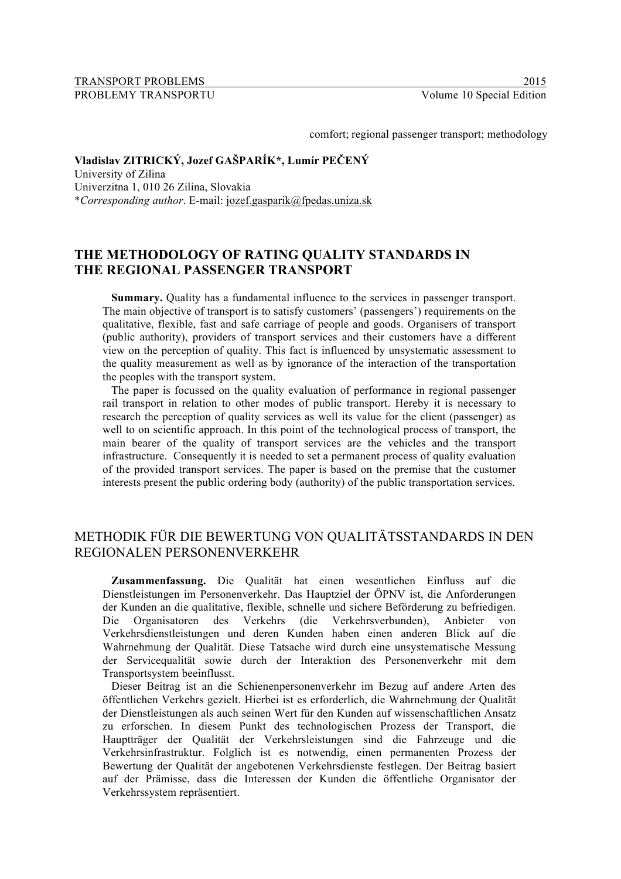#### TRANSPORT PROBLEMS 2015 PROBLEMY TRANSPORTU Volume 10 Special Edition

comfort; regional passenger transport; methodology

# **Vladislav ZITRICKÝ, Jozef GAŠPARÍK\*, Lumír PEČENÝ**

University of Zilina Univerzitna 1, 010 26 Zilina, Slovakia \**Corresponding author*. E-mail: jozef.gasparik@fpedas.uniza.sk

# **THE METHODOLOGY OF RATING QUALITY STANDARDS IN THE REGIONAL PASSENGER TRANSPORT**

**Summary.** Quality has a fundamental influence to the services in passenger transport. The main objective of transport is to satisfy customers' (passengers') requirements on the qualitative, flexible, fast and safe carriage of people and goods. Organisers of transport (public authority), providers of transport services and their customers have a different view on the perception of quality. This fact is influenced by unsystematic assessment to the quality measurement as well as by ignorance of the interaction of the transportation the peoples with the transport system.

The paper is focussed on the quality evaluation of performance in regional passenger rail transport in relation to other modes of public transport. Hereby it is necessary to research the perception of quality services as well its value for the client (passenger) as well to on scientific approach. In this point of the technological process of transport, the main bearer of the quality of transport services are the vehicles and the transport infrastructure. Consequently it is needed to set a permanent process of quality evaluation of the provided transport services. The paper is based on the premise that the customer interests present the public ordering body (authority) of the public transportation services.

# METHODIK FÜR DIE BEWERTUNG VON QUALITÄTSSTANDARDS IN DEN REGIONALEN PERSONENVERKEHR

**Zusammenfassung.** Die Qualität hat einen wesentlichen Einfluss auf die Dienstleistungen im Personenverkehr. Das Hauptziel der ÖPNV ist, die Anforderungen der Kunden an die qualitative, flexible, schnelle und sichere Beförderung zu befriedigen. Die Organisatoren des Verkehrs (die Verkehrsverbunden), Anbieter von Verkehrsdienstleistungen und deren Kunden haben einen anderen Blick auf die Wahrnehmung der Qualität. Diese Tatsache wird durch eine unsystematische Messung der Servicequalität sowie durch der Interaktion des Personenverkehr mit dem Transportsystem beeinflusst.

Dieser Beitrag ist an die Schienenpersonenverkehr im Bezug auf andere Arten des öffentlichen Verkehrs gezielt. Hierbei ist es erforderlich, die Wahrnehmung der Qualität der Dienstleistungen als auch seinen Wert für den Kunden auf wissenschaftlichen Ansatz zu erforschen. In diesem Punkt des technologischen Prozess der Transport, die Hauptträger der Qualität der Verkehrsleistungen sind die Fahrzeuge und die Verkehrsinfrastruktur. Folglich ist es notwendig, einen permanenten Prozess der Bewertung der Qualität der angebotenen Verkehrsdienste festlegen. Der Beitrag basiert auf der Prämisse, dass die Interessen der Kunden die öffentliche Organisator der Verkehrssystem repräsentiert.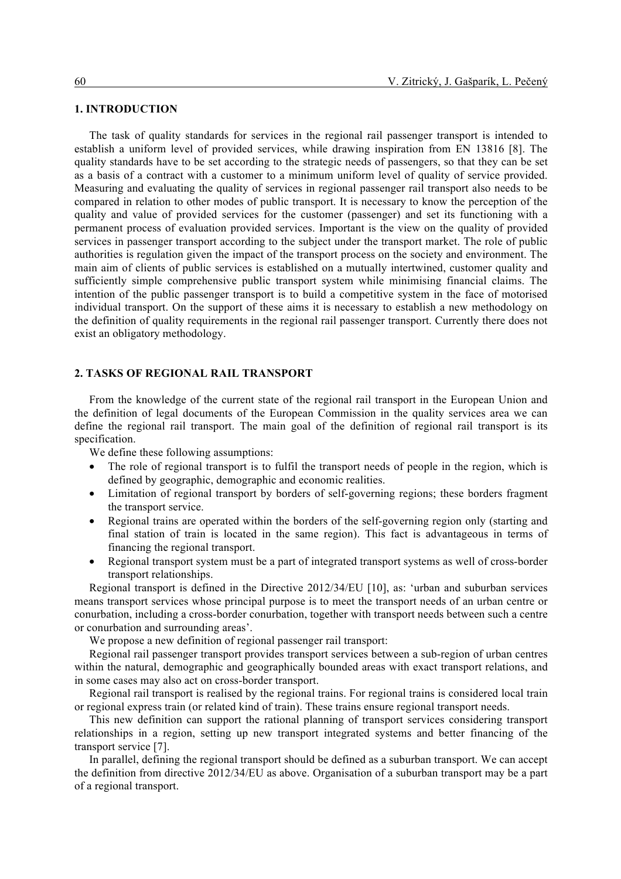# **1. INTRODUCTION**

The task of quality standards for services in the regional rail passenger transport is intended to establish a uniform level of provided services, while drawing inspiration from EN 13816 [8]. The quality standards have to be set according to the strategic needs of passengers, so that they can be set as a basis of a contract with a customer to a minimum uniform level of quality of service provided. Measuring and evaluating the quality of services in regional passenger rail transport also needs to be compared in relation to other modes of public transport. It is necessary to know the perception of the quality and value of provided services for the customer (passenger) and set its functioning with a permanent process of evaluation provided services. Important is the view on the quality of provided services in passenger transport according to the subject under the transport market. The role of public authorities is regulation given the impact of the transport process on the society and environment. The main aim of clients of public services is established on a mutually intertwined, customer quality and sufficiently simple comprehensive public transport system while minimising financial claims. The intention of the public passenger transport is to build a competitive system in the face of motorised individual transport. On the support of these aims it is necessary to establish a new methodology on the definition of quality requirements in the regional rail passenger transport. Currently there does not exist an obligatory methodology.

# **2. TASKS OF REGIONAL RAIL TRANSPORT**

From the knowledge of the current state of the regional rail transport in the European Union and the definition of legal documents of the European Commission in the quality services area we can define the regional rail transport. The main goal of the definition of regional rail transport is its specification.

We define these following assumptions:

- The role of regional transport is to fulfil the transport needs of people in the region, which is defined by geographic, demographic and economic realities.
- Limitation of regional transport by borders of self-governing regions; these borders fragment the transport service.
- Regional trains are operated within the borders of the self-governing region only (starting and final station of train is located in the same region). This fact is advantageous in terms of financing the regional transport.
- Regional transport system must be a part of integrated transport systems as well of cross-border transport relationships.

Regional transport is defined in the Directive 2012/34/EU [10], as: 'urban and suburban services means transport services whose principal purpose is to meet the transport needs of an urban centre or conurbation, including a cross-border conurbation, together with transport needs between such a centre or conurbation and surrounding areas'.

We propose a new definition of regional passenger rail transport:

Regional rail passenger transport provides transport services between a sub-region of urban centres within the natural, demographic and geographically bounded areas with exact transport relations, and in some cases may also act on cross-border transport.

Regional rail transport is realised by the regional trains. For regional trains is considered local train or regional express train (or related kind of train). These trains ensure regional transport needs.

This new definition can support the rational planning of transport services considering transport relationships in a region, setting up new transport integrated systems and better financing of the transport service [7].

In parallel, defining the regional transport should be defined as a suburban transport. We can accept the definition from directive 2012/34/EU as above. Organisation of a suburban transport may be a part of a regional transport.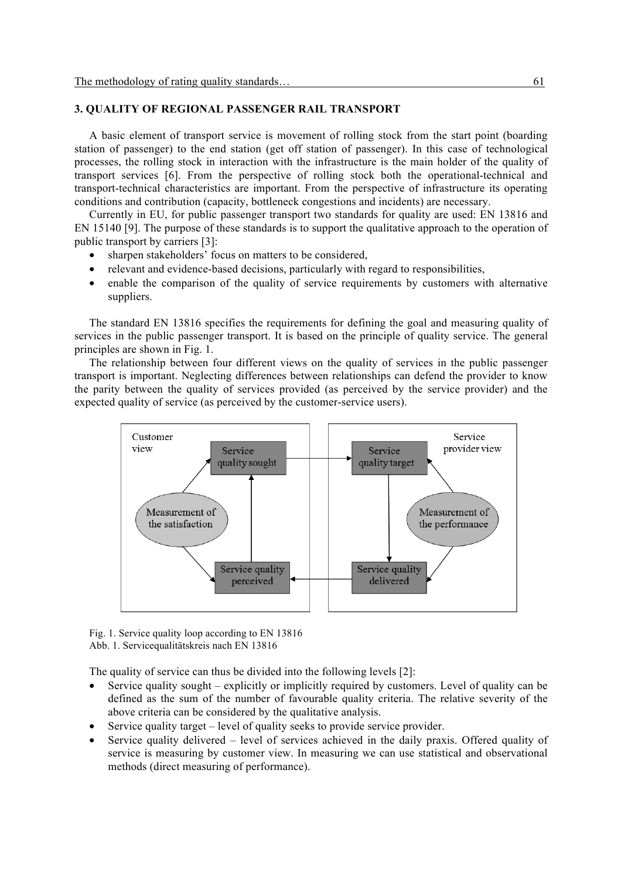# **3. QUALITY OF REGIONAL PASSENGER RAIL TRANSPORT**

A basic element of transport service is movement of rolling stock from the start point (boarding station of passenger) to the end station (get off station of passenger). In this case of technological processes, the rolling stock in interaction with the infrastructure is the main holder of the quality of transport services [6]. From the perspective of rolling stock both the operational-technical and transport-technical characteristics are important. From the perspective of infrastructure its operating conditions and contribution (capacity, bottleneck congestions and incidents) are necessary.

Currently in EU, for public passenger transport two standards for quality are used: EN 13816 and EN 15140 [9]. The purpose of these standards is to support the qualitative approach to the operation of public transport by carriers [3]:

- sharpen stakeholders' focus on matters to be considered,
- relevant and evidence-based decisions, particularly with regard to responsibilities,
- enable the comparison of the quality of service requirements by customers with alternative suppliers.

The standard EN 13816 specifies the requirements for defining the goal and measuring quality of services in the public passenger transport. It is based on the principle of quality service. The general principles are shown in Fig. 1.

The relationship between four different views on the quality of services in the public passenger transport is important. Neglecting differences between relationships can defend the provider to know the parity between the quality of services provided (as perceived by the service provider) and the expected quality of service (as perceived by the customer-service users).



Fig. 1. Service quality loop according to EN 13816 Abb. 1. Servicequalitätskreis nach EN 13816

The quality of service can thus be divided into the following levels [2]:

- Service quality sought explicitly or implicitly required by customers. Level of quality can be defined as the sum of the number of favourable quality criteria. The relative severity of the above criteria can be considered by the qualitative analysis.
- Service quality target level of quality seeks to provide service provider.
- Service quality delivered level of services achieved in the daily praxis. Offered quality of service is measuring by customer view. In measuring we can use statistical and observational methods (direct measuring of performance).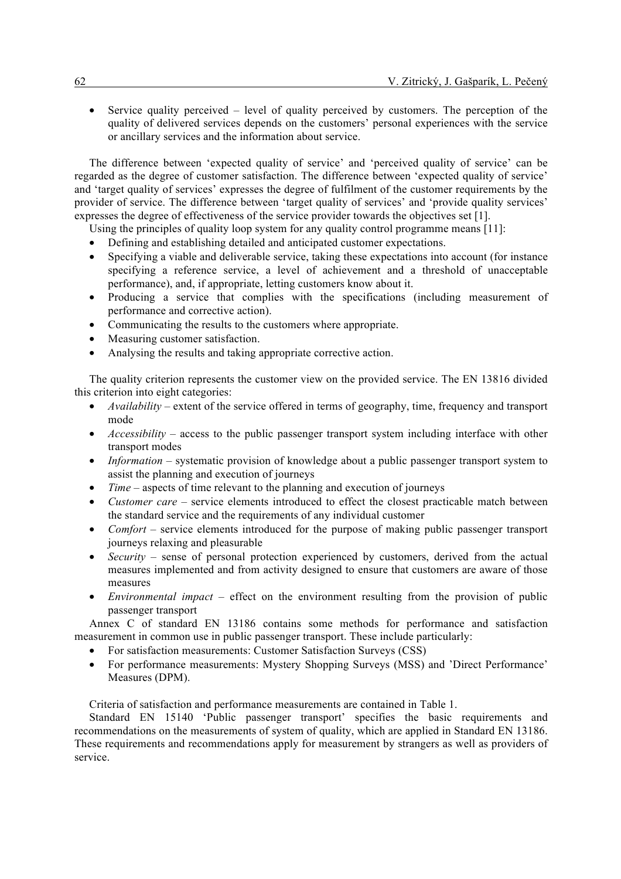• Service quality perceived – level of quality perceived by customers. The perception of the quality of delivered services depends on the customers' personal experiences with the service or ancillary services and the information about service.

The difference between 'expected quality of service' and 'perceived quality of service' can be regarded as the degree of customer satisfaction. The difference between 'expected quality of service' and 'target quality of services' expresses the degree of fulfilment of the customer requirements by the provider of service. The difference between 'target quality of services' and 'provide quality services' expresses the degree of effectiveness of the service provider towards the objectives set [1].

Using the principles of quality loop system for any quality control programme means [11]:

- Defining and establishing detailed and anticipated customer expectations.
- Specifying a viable and deliverable service, taking these expectations into account (for instance specifying a reference service, a level of achievement and a threshold of unacceptable performance), and, if appropriate, letting customers know about it.
- Producing a service that complies with the specifications (including measurement of performance and corrective action).
- Communicating the results to the customers where appropriate.
- Measuring customer satisfaction.
- Analysing the results and taking appropriate corrective action.

The quality criterion represents the customer view on the provided service. The EN 13816 divided this criterion into eight categories:

- *Availability* extent of the service offered in terms of geography, time, frequency and transport mode
- *Accessibility* access to the public passenger transport system including interface with other transport modes
- *Information* systematic provision of knowledge about a public passenger transport system to assist the planning and execution of journeys
- *Time* aspects of time relevant to the planning and execution of journeys
- *Customer care* service elements introduced to effect the closest practicable match between the standard service and the requirements of any individual customer
- *Comfort* service elements introduced for the purpose of making public passenger transport journeys relaxing and pleasurable
- *Security* sense of personal protection experienced by customers, derived from the actual measures implemented and from activity designed to ensure that customers are aware of those measures
- *Environmental impact* effect on the environment resulting from the provision of public passenger transport

Annex C of standard EN 13186 contains some methods for performance and satisfaction measurement in common use in public passenger transport. These include particularly:

- For satisfaction measurements: Customer Satisfaction Surveys (CSS)
- For performance measurements: Mystery Shopping Surveys (MSS) and 'Direct Performance' Measures (DPM).

Criteria of satisfaction and performance measurements are contained in Table 1.

Standard EN 15140 'Public passenger transport' specifies the basic requirements and recommendations on the measurements of system of quality, which are applied in Standard EN 13186. These requirements and recommendations apply for measurement by strangers as well as providers of service.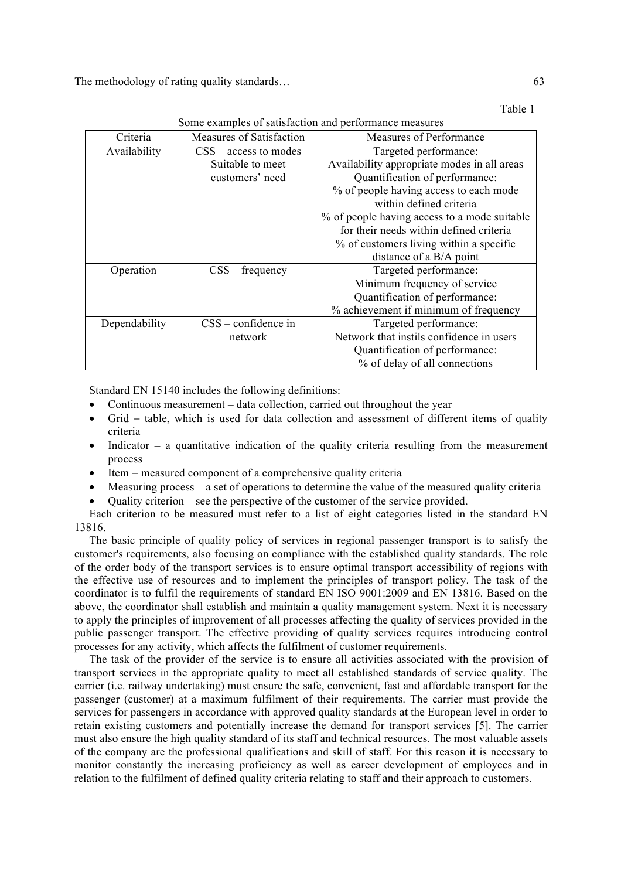| Sonic examples of sausiaenon and performance incasares |                          |                                              |
|--------------------------------------------------------|--------------------------|----------------------------------------------|
| Criteria                                               | Measures of Satisfaction | Measures of Performance                      |
| Availability                                           | $CSS - access to modes$  | Targeted performance:                        |
|                                                        | Suitable to meet         | Availability appropriate modes in all areas  |
|                                                        | customers' need          | Quantification of performance:               |
|                                                        |                          | % of people having access to each mode       |
|                                                        |                          | within defined criteria                      |
|                                                        |                          | % of people having access to a mode suitable |
|                                                        |                          | for their needs within defined criteria      |
|                                                        |                          | % of customers living within a specific      |
|                                                        |                          | distance of a B/A point                      |
| Operation                                              | $CSS - frequency$        | Targeted performance:                        |
|                                                        |                          | Minimum frequency of service                 |
|                                                        |                          | Quantification of performance:               |
|                                                        |                          | % achievement if minimum of frequency        |
| Dependability                                          | $CSS$ – confidence in    | Targeted performance:                        |
|                                                        | network                  | Network that instils confidence in users     |
|                                                        |                          | Quantification of performance:               |
|                                                        |                          | % of delay of all connections                |

Table 1 Some examples of satisfaction and performance measures

Standard EN 15140 includes the following definitions:

- Continuous measurement data collection, carried out throughout the year
- Grid table, which is used for data collection and assessment of different items of quality criteria
- Indicator  $-$  a quantitative indication of the quality criteria resulting from the measurement process
- Item − measured component of a comprehensive quality criteria
- Measuring process a set of operations to determine the value of the measured quality criteria
- Quality criterion see the perspective of the customer of the service provided.

Each criterion to be measured must refer to a list of eight categories listed in the standard EN 13816.

The basic principle of quality policy of services in regional passenger transport is to satisfy the customer's requirements, also focusing on compliance with the established quality standards. The role of the order body of the transport services is to ensure optimal transport accessibility of regions with the effective use of resources and to implement the principles of transport policy. The task of the coordinator is to fulfil the requirements of standard EN ISO 9001:2009 and EN 13816. Based on the above, the coordinator shall establish and maintain a quality management system. Next it is necessary to apply the principles of improvement of all processes affecting the quality of services provided in the public passenger transport. The effective providing of quality services requires introducing control processes for any activity, which affects the fulfilment of customer requirements.

The task of the provider of the service is to ensure all activities associated with the provision of transport services in the appropriate quality to meet all established standards of service quality. The carrier (i.e. railway undertaking) must ensure the safe, convenient, fast and affordable transport for the passenger (customer) at a maximum fulfilment of their requirements. The carrier must provide the services for passengers in accordance with approved quality standards at the European level in order to retain existing customers and potentially increase the demand for transport services [5]. The carrier must also ensure the high quality standard of its staff and technical resources. The most valuable assets of the company are the professional qualifications and skill of staff. For this reason it is necessary to monitor constantly the increasing proficiency as well as career development of employees and in relation to the fulfilment of defined quality criteria relating to staff and their approach to customers.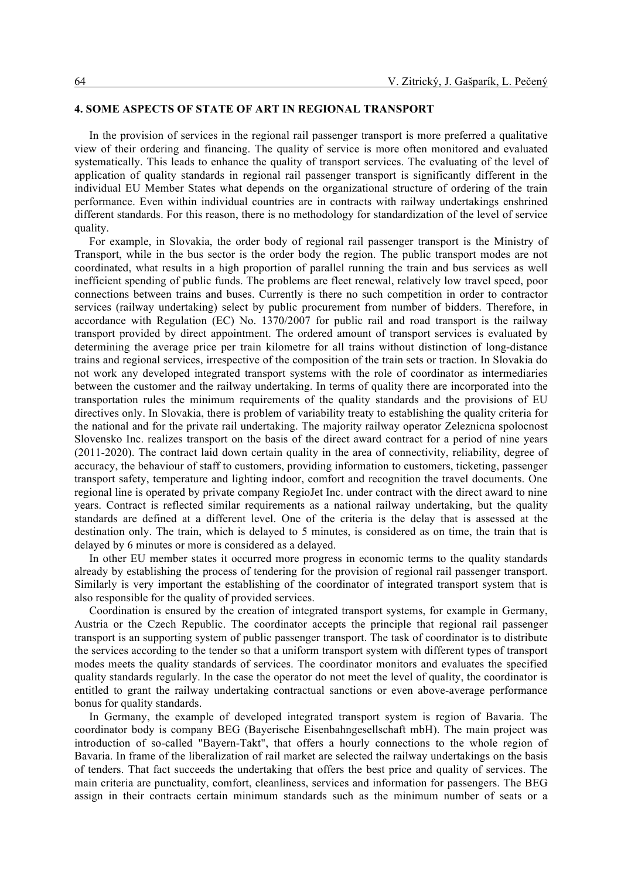# **4. SOME ASPECTS OF STATE OF ART IN REGIONAL TRANSPORT**

In the provision of services in the regional rail passenger transport is more preferred a qualitative view of their ordering and financing. The quality of service is more often monitored and evaluated systematically. This leads to enhance the quality of transport services. The evaluating of the level of application of quality standards in regional rail passenger transport is significantly different in the individual EU Member States what depends on the organizational structure of ordering of the train performance. Even within individual countries are in contracts with railway undertakings enshrined different standards. For this reason, there is no methodology for standardization of the level of service quality.

For example, in Slovakia, the order body of regional rail passenger transport is the Ministry of Transport, while in the bus sector is the order body the region. The public transport modes are not coordinated, what results in a high proportion of parallel running the train and bus services as well inefficient spending of public funds. The problems are fleet renewal, relatively low travel speed, poor connections between trains and buses. Currently is there no such competition in order to contractor services (railway undertaking) select by public procurement from number of bidders. Therefore, in accordance with Regulation (EC) No. 1370/2007 for public rail and road transport is the railway transport provided by direct appointment. The ordered amount of transport services is evaluated by determining the average price per train kilometre for all trains without distinction of long-distance trains and regional services, irrespective of the composition of the train sets or traction. In Slovakia do not work any developed integrated transport systems with the role of coordinator as intermediaries between the customer and the railway undertaking. In terms of quality there are incorporated into the transportation rules the minimum requirements of the quality standards and the provisions of EU directives only. In Slovakia, there is problem of variability treaty to establishing the quality criteria for the national and for the private rail undertaking. The majority railway operator Zeleznicna spolocnost Slovensko Inc. realizes transport on the basis of the direct award contract for a period of nine years (2011-2020). The contract laid down certain quality in the area of connectivity, reliability, degree of accuracy, the behaviour of staff to customers, providing information to customers, ticketing, passenger transport safety, temperature and lighting indoor, comfort and recognition the travel documents. One regional line is operated by private company RegioJet Inc. under contract with the direct award to nine years. Contract is reflected similar requirements as a national railway undertaking, but the quality standards are defined at a different level. One of the criteria is the delay that is assessed at the destination only. The train, which is delayed to 5 minutes, is considered as on time, the train that is delayed by 6 minutes or more is considered as a delayed.

In other EU member states it occurred more progress in economic terms to the quality standards already by establishing the process of tendering for the provision of regional rail passenger transport. Similarly is very important the establishing of the coordinator of integrated transport system that is also responsible for the quality of provided services.

Coordination is ensured by the creation of integrated transport systems, for example in Germany, Austria or the Czech Republic. The coordinator accepts the principle that regional rail passenger transport is an supporting system of public passenger transport. The task of coordinator is to distribute the services according to the tender so that a uniform transport system with different types of transport modes meets the quality standards of services. The coordinator monitors and evaluates the specified quality standards regularly. In the case the operator do not meet the level of quality, the coordinator is entitled to grant the railway undertaking contractual sanctions or even above-average performance bonus for quality standards.

In Germany, the example of developed integrated transport system is region of Bavaria. The coordinator body is company BEG (Bayerische Eisenbahngesellschaft mbH). The main project was introduction of so-called "Bayern-Takt", that offers a hourly connections to the whole region of Bavaria. In frame of the liberalization of rail market are selected the railway undertakings on the basis of tenders. That fact succeeds the undertaking that offers the best price and quality of services. The main criteria are punctuality, comfort, cleanliness, services and information for passengers. The BEG assign in their contracts certain minimum standards such as the minimum number of seats or a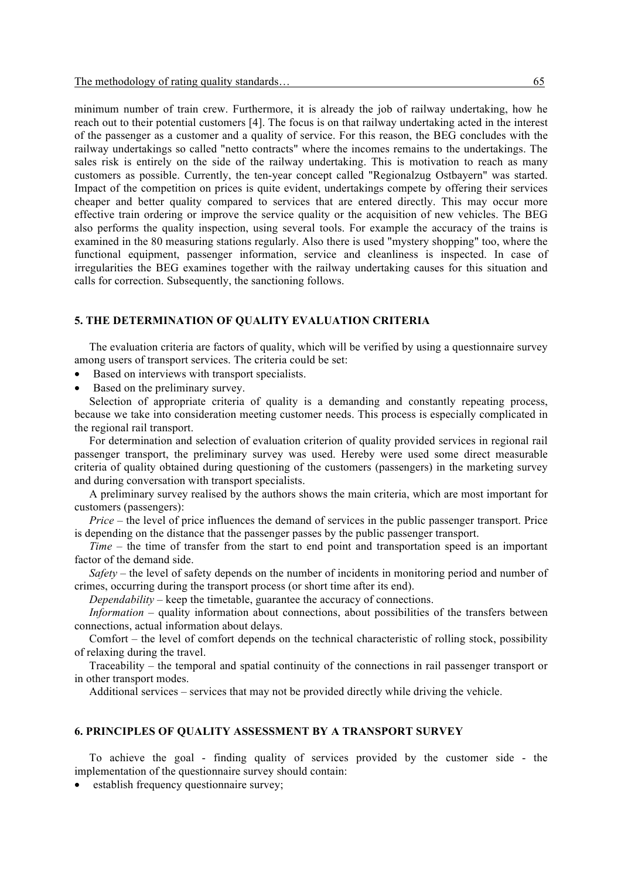minimum number of train crew. Furthermore, it is already the job of railway undertaking, how he reach out to their potential customers [4]. The focus is on that railway undertaking acted in the interest of the passenger as a customer and a quality of service. For this reason, the BEG concludes with the railway undertakings so called "netto contracts" where the incomes remains to the undertakings. The sales risk is entirely on the side of the railway undertaking. This is motivation to reach as many customers as possible. Currently, the ten-year concept called "Regionalzug Ostbayern" was started. Impact of the competition on prices is quite evident, undertakings compete by offering their services cheaper and better quality compared to services that are entered directly. This may occur more effective train ordering or improve the service quality or the acquisition of new vehicles. The BEG also performs the quality inspection, using several tools. For example the accuracy of the trains is examined in the 80 measuring stations regularly. Also there is used "mystery shopping" too, where the functional equipment, passenger information, service and cleanliness is inspected. In case of irregularities the BEG examines together with the railway undertaking causes for this situation and calls for correction. Subsequently, the sanctioning follows.

#### **5. THE DETERMINATION OF QUALITY EVALUATION CRITERIA**

The evaluation criteria are factors of quality, which will be verified by using a questionnaire survey among users of transport services. The criteria could be set:

- Based on interviews with transport specialists.
- Based on the preliminary survey.

Selection of appropriate criteria of quality is a demanding and constantly repeating process, because we take into consideration meeting customer needs. This process is especially complicated in the regional rail transport.

For determination and selection of evaluation criterion of quality provided services in regional rail passenger transport, the preliminary survey was used. Hereby were used some direct measurable criteria of quality obtained during questioning of the customers (passengers) in the marketing survey and during conversation with transport specialists.

A preliminary survey realised by the authors shows the main criteria, which are most important for customers (passengers):

*Price* – the level of price influences the demand of services in the public passenger transport. Price is depending on the distance that the passenger passes by the public passenger transport.

*Time* – the time of transfer from the start to end point and transportation speed is an important factor of the demand side.

*Safety* – the level of safety depends on the number of incidents in monitoring period and number of crimes, occurring during the transport process (or short time after its end).

*Dependability* – keep the timetable, guarantee the accuracy of connections.

*Information* – quality information about connections, about possibilities of the transfers between connections, actual information about delays.

Comfort – the level of comfort depends on the technical characteristic of rolling stock, possibility of relaxing during the travel.

Traceability – the temporal and spatial continuity of the connections in rail passenger transport or in other transport modes.

Additional services – services that may not be provided directly while driving the vehicle.

#### **6. PRINCIPLES OF QUALITY ASSESSMENT BY A TRANSPORT SURVEY**

To achieve the goal - finding quality of services provided by the customer side - the implementation of the questionnaire survey should contain:

• establish frequency questionnaire survey: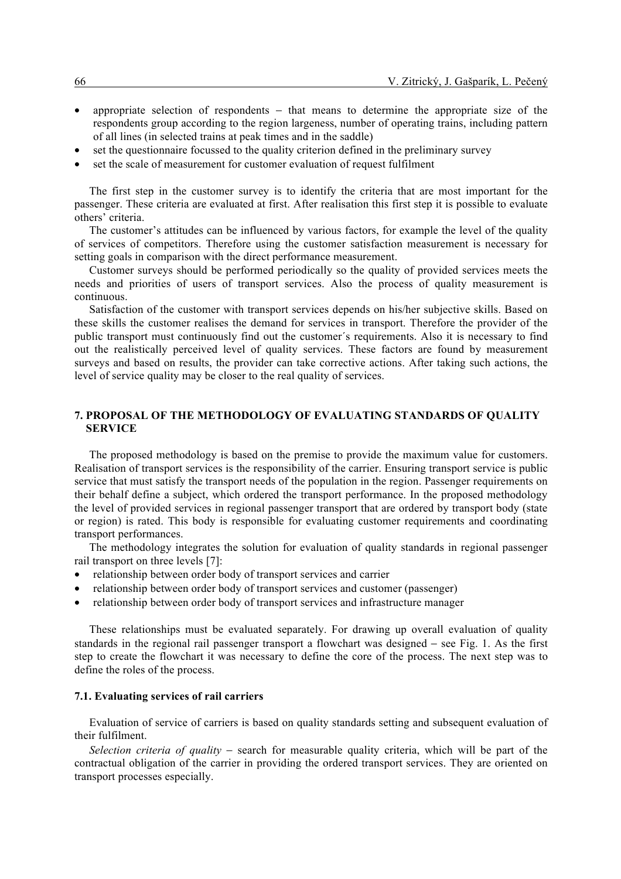- appropriate selection of respondents − that means to determine the appropriate size of the respondents group according to the region largeness, number of operating trains, including pattern of all lines (in selected trains at peak times and in the saddle)
- set the questionnaire focussed to the quality criterion defined in the preliminary survey
- set the scale of measurement for customer evaluation of request fulfilment

The first step in the customer survey is to identify the criteria that are most important for the passenger. These criteria are evaluated at first. After realisation this first step it is possible to evaluate others' criteria.

The customer's attitudes can be influenced by various factors, for example the level of the quality of services of competitors. Therefore using the customer satisfaction measurement is necessary for setting goals in comparison with the direct performance measurement.

Customer surveys should be performed periodically so the quality of provided services meets the needs and priorities of users of transport services. Also the process of quality measurement is continuous.

Satisfaction of the customer with transport services depends on his/her subjective skills. Based on these skills the customer realises the demand for services in transport. Therefore the provider of the public transport must continuously find out the customer´s requirements. Also it is necessary to find out the realistically perceived level of quality services. These factors are found by measurement surveys and based on results, the provider can take corrective actions. After taking such actions, the level of service quality may be closer to the real quality of services.

#### **7. PROPOSAL OF THE METHODOLOGY OF EVALUATING STANDARDS OF QUALITY SERVICE**

The proposed methodology is based on the premise to provide the maximum value for customers. Realisation of transport services is the responsibility of the carrier. Ensuring transport service is public service that must satisfy the transport needs of the population in the region. Passenger requirements on their behalf define a subject, which ordered the transport performance. In the proposed methodology the level of provided services in regional passenger transport that are ordered by transport body (state or region) is rated. This body is responsible for evaluating customer requirements and coordinating transport performances.

The methodology integrates the solution for evaluation of quality standards in regional passenger rail transport on three levels [7]:

- relationship between order body of transport services and carrier
- relationship between order body of transport services and customer (passenger)
- relationship between order body of transport services and infrastructure manager

These relationships must be evaluated separately. For drawing up overall evaluation of quality standards in the regional rail passenger transport a flowchart was designed − see Fig. 1. As the first step to create the flowchart it was necessary to define the core of the process. The next step was to define the roles of the process.

#### **7.1. Evaluating services of rail carriers**

Evaluation of service of carriers is based on quality standards setting and subsequent evaluation of their fulfilment.

*Selection criteria of quality* − search for measurable quality criteria, which will be part of the contractual obligation of the carrier in providing the ordered transport services. They are oriented on transport processes especially.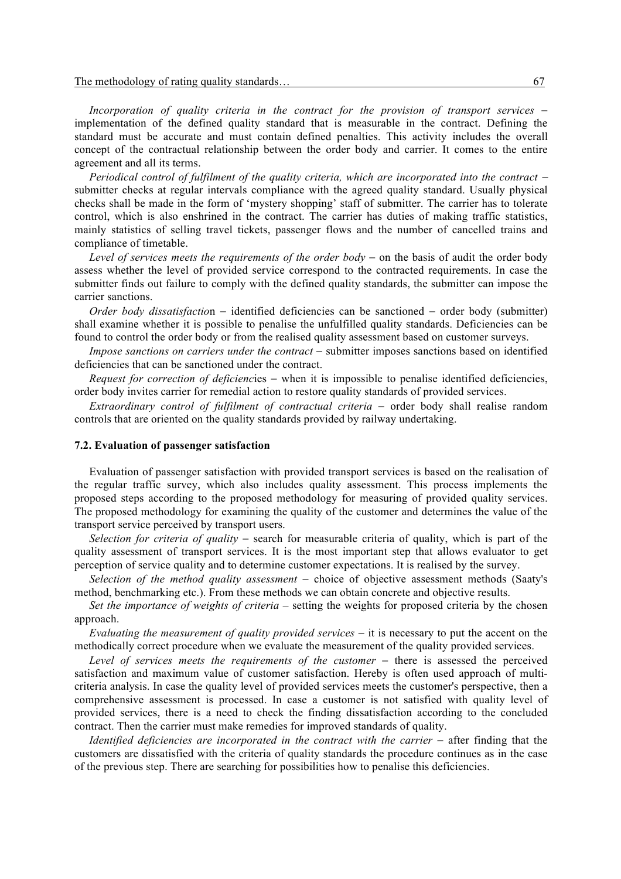The methodology of rating quality standards… 67.

*Incorporation of quality criteria in the contract for the provision of transport services* − implementation of the defined quality standard that is measurable in the contract. Defining the standard must be accurate and must contain defined penalties. This activity includes the overall concept of the contractual relationship between the order body and carrier. It comes to the entire agreement and all its terms.

*Periodical control of fulfilment of the quality criteria, which are incorporated into the contract −* submitter checks at regular intervals compliance with the agreed quality standard. Usually physical checks shall be made in the form of 'mystery shopping' staff of submitter. The carrier has to tolerate control, which is also enshrined in the contract. The carrier has duties of making traffic statistics, mainly statistics of selling travel tickets, passenger flows and the number of cancelled trains and compliance of timetable.

*Level of services meets the requirements of the order body* − on the basis of audit the order body assess whether the level of provided service correspond to the contracted requirements. In case the submitter finds out failure to comply with the defined quality standards, the submitter can impose the carrier sanctions.

*Order body dissatisfactio*n − identified deficiencies can be sanctioned − order body (submitter) shall examine whether it is possible to penalise the unfulfilled quality standards. Deficiencies can be found to control the order body or from the realised quality assessment based on customer surveys.

*Impose sanctions on carriers under the contract* − submitter imposes sanctions based on identified deficiencies that can be sanctioned under the contract.

*Request for correction of deficiencies* − when it is impossible to penalise identified deficiencies, order body invites carrier for remedial action to restore quality standards of provided services.

*Extraordinary control of fulfilment of contractual criteria* – order body shall realise random controls that are oriented on the quality standards provided by railway undertaking.

#### **7.2. Evaluation of passenger satisfaction**

Evaluation of passenger satisfaction with provided transport services is based on the realisation of the regular traffic survey, which also includes quality assessment. This process implements the proposed steps according to the proposed methodology for measuring of provided quality services. The proposed methodology for examining the quality of the customer and determines the value of the transport service perceived by transport users.

*Selection for criteria of quality* − search for measurable criteria of quality, which is part of the quality assessment of transport services. It is the most important step that allows evaluator to get perception of service quality and to determine customer expectations. It is realised by the survey.

*Selection of the method quality assessment* − choice of objective assessment methods (Saaty's method, benchmarking etc.). From these methods we can obtain concrete and objective results.

*Set the importance of weights of criteria* – setting the weights for proposed criteria by the chosen approach.

*Evaluating the measurement of quality provided services* − it is necessary to put the accent on the methodically correct procedure when we evaluate the measurement of the quality provided services.

*Level of services meets the requirements of the customer* − there is assessed the perceived satisfaction and maximum value of customer satisfaction. Hereby is often used approach of multicriteria analysis. In case the quality level of provided services meets the customer's perspective, then a comprehensive assessment is processed. In case a customer is not satisfied with quality level of provided services, there is a need to check the finding dissatisfaction according to the concluded contract. Then the carrier must make remedies for improved standards of quality.

*Identified deficiencies are incorporated in the contract with the carrier* – after finding that the customers are dissatisfied with the criteria of quality standards the procedure continues as in the case of the previous step. There are searching for possibilities how to penalise this deficiencies.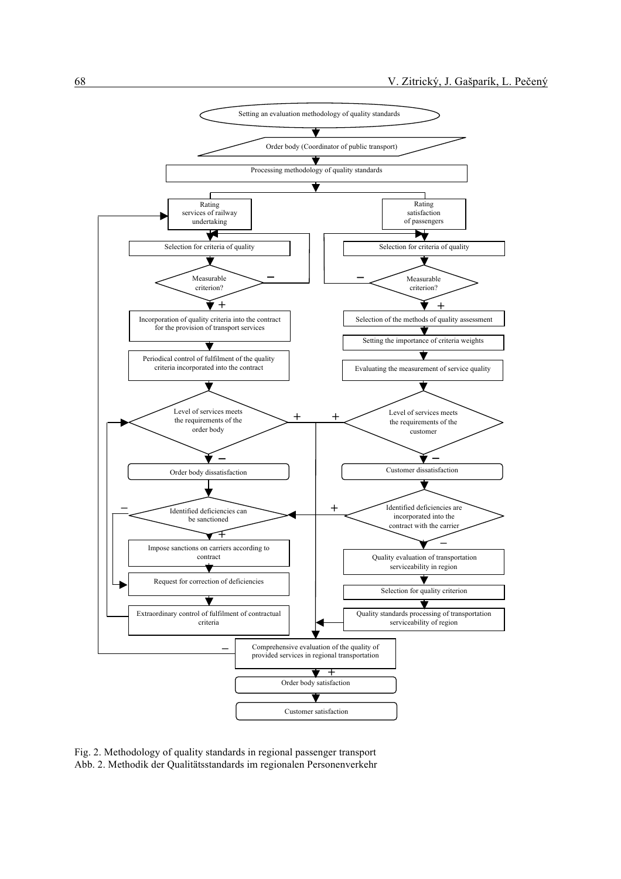

Fig. 2. Methodology of quality standards in regional passenger transport Abb. 2. Methodik der Qualitätsstandards im regionalen Personenverkehr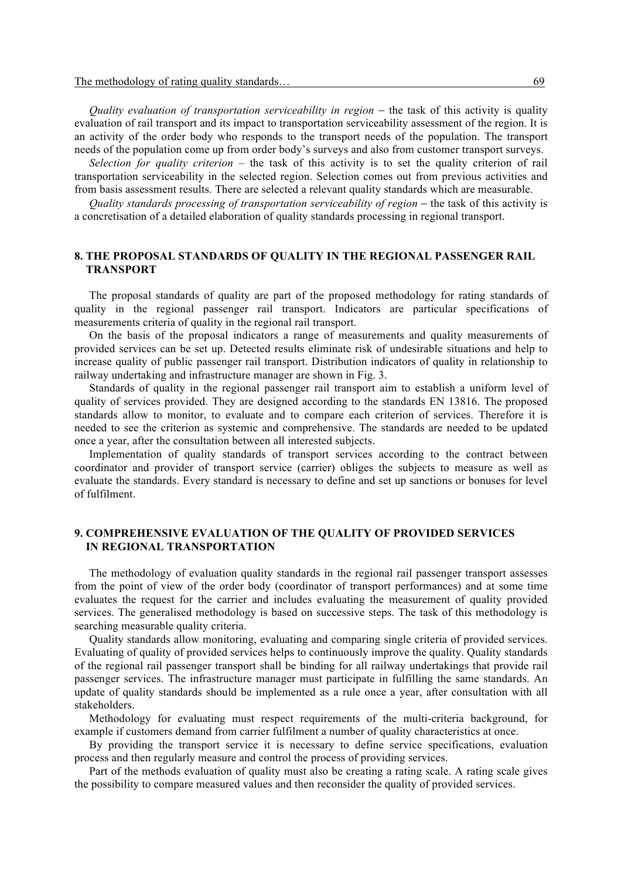*Quality evaluation of transportation serviceability in region* − the task of this activity is quality evaluation of rail transport and its impact to transportation serviceability assessment of the region. It is an activity of the order body who responds to the transport needs of the population. The transport needs of the population come up from order body's surveys and also from customer transport surveys.

*Selection for quality criterion* – the task of this activity is to set the quality criterion of rail transportation serviceability in the selected region. Selection comes out from previous activities and from basis assessment results. There are selected a relevant quality standards which are measurable.

*Quality standards processing of transportation serviceability of region* – the task of this activity is a concretisation of a detailed elaboration of quality standards processing in regional transport.

# **8. THE PROPOSAL STANDARDS OF QUALITY IN THE REGIONAL PASSENGER RAIL TRANSPORT**

The proposal standards of quality are part of the proposed methodology for rating standards of quality in the regional passenger rail transport. Indicators are particular specifications of measurements criteria of quality in the regional rail transport.

On the basis of the proposal indicators a range of measurements and quality measurements of provided services can be set up. Detected results eliminate risk of undesirable situations and help to increase quality of public passenger rail transport. Distribution indicators of quality in relationship to railway undertaking and infrastructure manager are shown in Fig. 3.

Standards of quality in the regional passenger rail transport aim to establish a uniform level of quality of services provided. They are designed according to the standards EN 13816. The proposed standards allow to monitor, to evaluate and to compare each criterion of services. Therefore it is needed to see the criterion as systemic and comprehensive. The standards are needed to be updated once a year, after the consultation between all interested subjects.

Implementation of quality standards of transport services according to the contract between coordinator and provider of transport service (carrier) obliges the subjects to measure as well as evaluate the standards. Every standard is necessary to define and set up sanctions or bonuses for level of fulfilment.

# **9. COMPREHENSIVE EVALUATION OF THE QUALITY OF PROVIDED SERVICES IN REGIONAL TRANSPORTATION**

The methodology of evaluation quality standards in the regional rail passenger transport assesses from the point of view of the order body (coordinator of transport performances) and at some time evaluates the request for the carrier and includes evaluating the measurement of quality provided services. The generalised methodology is based on successive steps. The task of this methodology is searching measurable quality criteria.

Quality standards allow monitoring, evaluating and comparing single criteria of provided services. Evaluating of quality of provided services helps to continuously improve the quality. Quality standards of the regional rail passenger transport shall be binding for all railway undertakings that provide rail passenger services. The infrastructure manager must participate in fulfilling the same standards. An update of quality standards should be implemented as a rule once a year, after consultation with all stakeholders.

Methodology for evaluating must respect requirements of the multi-criteria background, for example if customers demand from carrier fulfilment a number of quality characteristics at once.

By providing the transport service it is necessary to define service specifications, evaluation process and then regularly measure and control the process of providing services.

Part of the methods evaluation of quality must also be creating a rating scale. A rating scale gives the possibility to compare measured values and then reconsider the quality of provided services.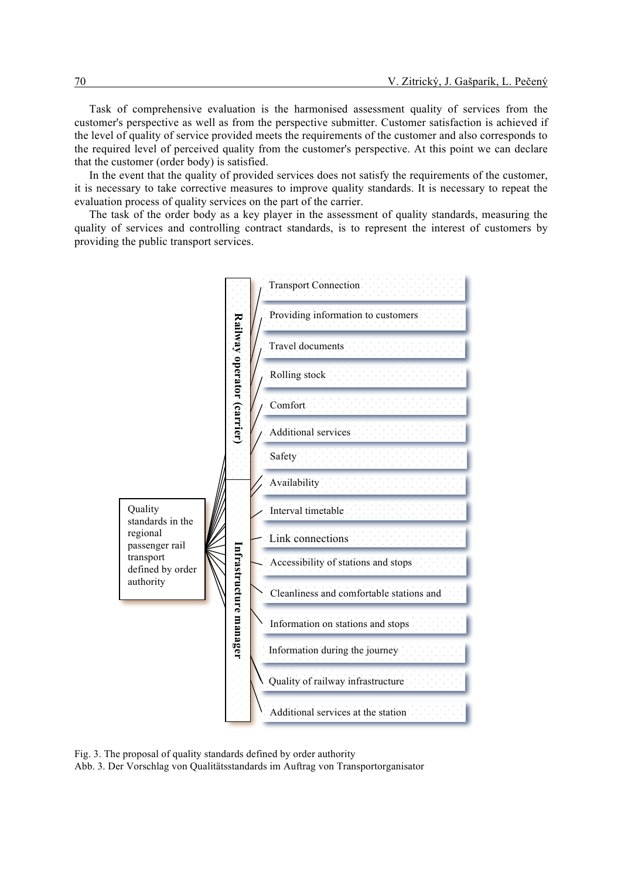Task of comprehensive evaluation is the harmonised assessment quality of services from the customer's perspective as well as from the perspective submitter. Customer satisfaction is achieved if the level of quality of service provided meets the requirements of the customer and also corresponds to the required level of perceived quality from the customer's perspective. At this point we can declare that the customer (order body) is satisfied.

In the event that the quality of provided services does not satisfy the requirements of the customer, it is necessary to take corrective measures to improve quality standards. It is necessary to repeat the evaluation process of quality services on the part of the carrier.

The task of the order body as a key player in the assessment of quality standards, measuring the quality of services and controlling contract standards, is to represent the interest of customers by providing the public transport services.



Fig. 3. The proposal of quality standards defined by order authority

Abb. 3. Der Vorschlag von Qualitätsstandards im Auftrag von Transportorganisator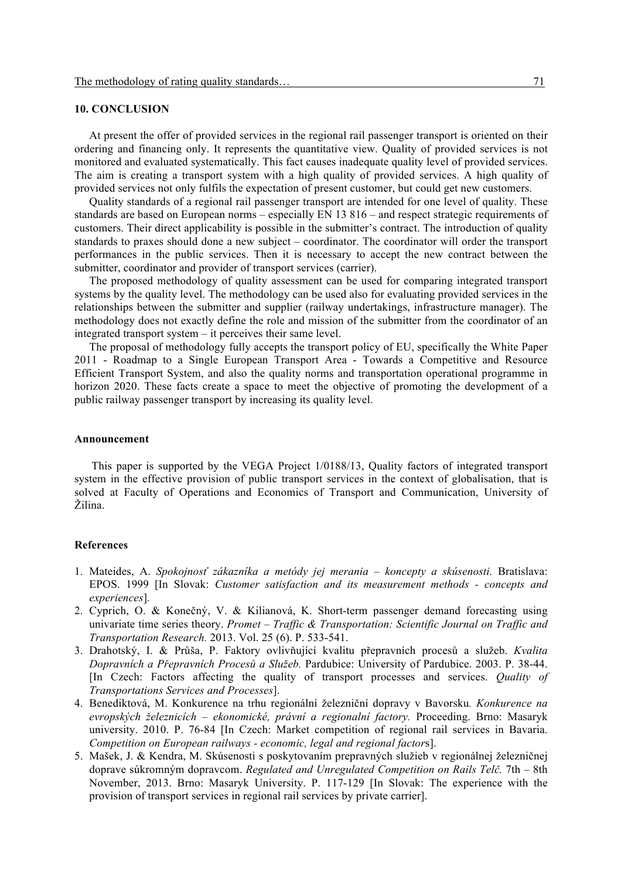# **10. CONCLUSION**

At present the offer of provided services in the regional rail passenger transport is oriented on their ordering and financing only. It represents the quantitative view. Quality of provided services is not monitored and evaluated systematically. This fact causes inadequate quality level of provided services. The aim is creating a transport system with a high quality of provided services. A high quality of provided services not only fulfils the expectation of present customer, but could get new customers.

Quality standards of a regional rail passenger transport are intended for one level of quality. These standards are based on European norms – especially EN 13 816 – and respect strategic requirements of customers. Their direct applicability is possible in the submitter's contract. The introduction of quality standards to praxes should done a new subject – coordinator. The coordinator will order the transport performances in the public services. Then it is necessary to accept the new contract between the submitter, coordinator and provider of transport services (carrier).

The proposed methodology of quality assessment can be used for comparing integrated transport systems by the quality level. The methodology can be used also for evaluating provided services in the relationships between the submitter and supplier (railway undertakings, infrastructure manager). The methodology does not exactly define the role and mission of the submitter from the coordinator of an integrated transport system – it perceives their same level.

The proposal of methodology fully accepts the transport policy of EU, specifically the White Paper 2011 - Roadmap to a Single European Transport Area - Towards a Competitive and Resource Efficient Transport System, and also the quality norms and transportation operational programme in horizon 2020. These facts create a space to meet the objective of promoting the development of a public railway passenger transport by increasing its quality level.

#### **Announcement**

 This paper is supported by the VEGA Project 1/0188/13, Quality factors of integrated transport system in the effective provision of public transport services in the context of globalisation, that is solved at Faculty of Operations and Economics of Transport and Communication, University of Žilina.

#### **References**

- 1. Mateides, A. *Spokojnosť zákazníka a metódy jej merania – koncepty a skúsenosti.* Bratislava: EPOS. 1999 [In Slovak: *Customer satisfaction and its measurement methods - concepts and experiences*]*.*
- 2. Cyprich, O. & Konečný, V. & Kilianová, K. Short-term passenger demand forecasting using univariate time series theory. *Promet – Traffic & Transportation: Scientific Journal on Traffic and Transportation Research.* 2013. Vol. 25 (6). P. 533-541.
- 3. Drahotský, I. & Průša, P. Faktory ovlivňující kvalitu přepravních procesů a služeb. *Kvalita Dopravních a Přepravních Procesů a Služeb.* Pardubice: University of Pardubice. 2003. P. 38-44. [In Czech: Factors affecting the quality of transport processes and services. *Quality of Transportations Services and Processes*].
- 4. Benediktová, M. Konkurence na trhu regionální železniční dopravy v Bavorsku*. Konkurence na evropských železnicích – ekonomické, právní a regionalní factory.* Proceeding. Brno: Masaryk university. 2010. P. 76-84 [In Czech: Market competition of regional rail services in Bavaria. *Competition on European railways - economic, legal and regional factor*s].
- 5. Mašek, J. & Kendra, M. Skúsenosti s poskytovaním prepravných služieb v regionálnej železničnej doprave súkromným dopravcom. *Regulated and Unregulated Competition on Rails Telč.* 7th – 8th November, 2013. Brno: Masaryk University. P. 117-129 [In Slovak: The experience with the provision of transport services in regional rail services by private carrier].